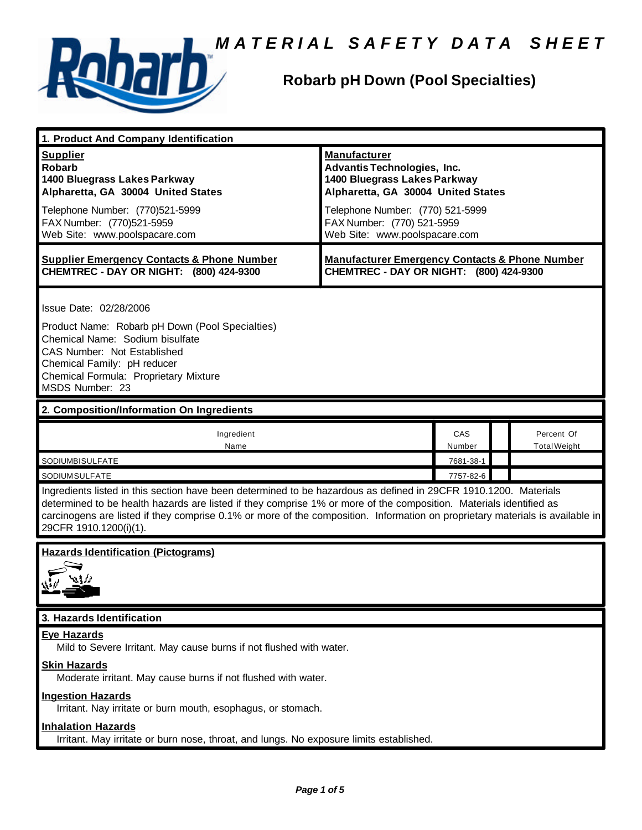



### **Robarb pH Down (Pool Specialties)**

| 1. Product And Company Identification                                                                                                                                                                                                                                                                                                                                                             |                                                                                                                                                                                                                                    |               |  |                                   |  |
|---------------------------------------------------------------------------------------------------------------------------------------------------------------------------------------------------------------------------------------------------------------------------------------------------------------------------------------------------------------------------------------------------|------------------------------------------------------------------------------------------------------------------------------------------------------------------------------------------------------------------------------------|---------------|--|-----------------------------------|--|
| <b>Supplier</b><br><b>Robarb</b><br>1400 Bluegrass Lakes Parkway<br>Alpharetta, GA 30004 United States<br>Telephone Number: (770)521-5999<br>FAX Number: (770)521-5959<br>Web Site: www.poolspacare.com                                                                                                                                                                                           | <b>Manufacturer</b><br><b>Advantis Technologies, Inc.</b><br>1400 Bluegrass Lakes Parkway<br>Alpharetta, GA 30004 United States<br>Telephone Number: (770) 521-5999<br>FAX Number: (770) 521-5959<br>Web Site: www.poolspacare.com |               |  |                                   |  |
| <b>Supplier Emergency Contacts &amp; Phone Number</b><br>CHEMTREC - DAY OR NIGHT: (800) 424-9300                                                                                                                                                                                                                                                                                                  | <b>Manufacturer Emergency Contacts &amp; Phone Number</b><br>CHEMTREC - DAY OR NIGHT: (800) 424-9300                                                                                                                               |               |  |                                   |  |
| Issue Date: 02/28/2006<br>Product Name: Robarb pH Down (Pool Specialties)<br>Chemical Name: Sodium bisulfate<br>CAS Number: Not Established<br>Chemical Family: pH reducer<br>Chemical Formula: Proprietary Mixture<br>MSDS Number: 23                                                                                                                                                            |                                                                                                                                                                                                                                    |               |  |                                   |  |
| 2. Composition/Information On Ingredients                                                                                                                                                                                                                                                                                                                                                         |                                                                                                                                                                                                                                    |               |  |                                   |  |
| Ingredient<br>Name                                                                                                                                                                                                                                                                                                                                                                                |                                                                                                                                                                                                                                    | CAS<br>Number |  | Percent Of<br><b>Total Weight</b> |  |
| SODIUMBISULFATE                                                                                                                                                                                                                                                                                                                                                                                   |                                                                                                                                                                                                                                    | 7681-38-1     |  |                                   |  |
| SODIUMSULFATE                                                                                                                                                                                                                                                                                                                                                                                     | 7757-82-6                                                                                                                                                                                                                          |               |  |                                   |  |
| Ingredients listed in this section have been determined to be hazardous as defined in 29CFR 1910.1200. Materials<br>determined to be health hazards are listed if they comprise 1% or more of the composition. Materials identified as<br>carcinogens are listed if they comprise 0.1% or more of the composition. Information on proprietary materials is available in<br>29CFR 1910.1200(i)(1). |                                                                                                                                                                                                                                    |               |  |                                   |  |
| <b>Hazards Identification (Pictograms)</b>                                                                                                                                                                                                                                                                                                                                                        |                                                                                                                                                                                                                                    |               |  |                                   |  |
| 3. Hazards Identification                                                                                                                                                                                                                                                                                                                                                                         |                                                                                                                                                                                                                                    |               |  |                                   |  |
| <b>Eye Hazards</b><br>Mild to Severe Irritant. May cause burns if not flushed with water.<br><b>Skin Hazards</b><br>Moderate irritant. May cause burns if not flushed with water.                                                                                                                                                                                                                 |                                                                                                                                                                                                                                    |               |  |                                   |  |
| <b>Ingestion Hazards</b><br>Irritant. Nay irritate or burn mouth, esophagus, or stomach.                                                                                                                                                                                                                                                                                                          |                                                                                                                                                                                                                                    |               |  |                                   |  |
| <b>Inhalation Hazards</b><br>Irritant. May irritate or burn nose, throat, and lungs. No exposure limits established.                                                                                                                                                                                                                                                                              |                                                                                                                                                                                                                                    |               |  |                                   |  |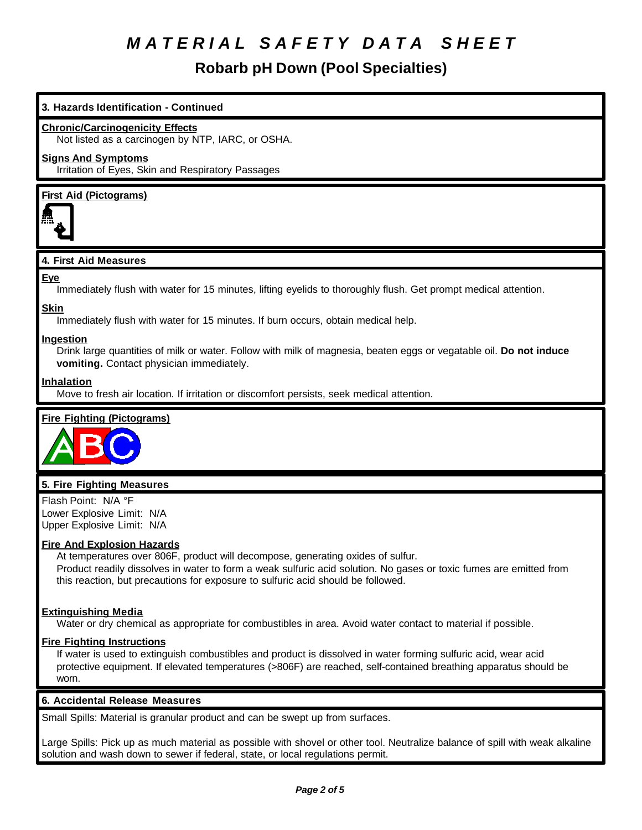### **Robarb pH Down (Pool Specialties)**

#### **3. Hazards Identification - Continued**

#### **Chronic/Carcinogenicity Effects**

Not listed as a carcinogen by NTP, IARC, or OSHA.

#### **Signs And Symptoms**

Irritation of Eyes, Skin and Respiratory Passages

#### **First Aid (Pictograms)**



#### **4. First Aid Measures**

#### **Eye**

Immediately flush with water for 15 minutes, lifting eyelids to thoroughly flush. Get prompt medical attention.

### **Skin**

Immediately flush with water for 15 minutes. If burn occurs, obtain medical help.

#### **Ingestion**

Drink large quantities of milk or water. Follow with milk of magnesia, beaten eggs or vegatable oil. **Do not induce vomiting.** Contact physician immediately.

#### **Inhalation**

Move to fresh air location. If irritation or discomfort persists, seek medical attention.

#### **Fire Fighting (Pictograms)**



#### **5. Fire Fighting Measures**

Flash Point: N/A °F Lower Explosive Limit: N/A Upper Explosive Limit: N/A

#### **Fire And Explosion Hazards**

At temperatures over 806F, product will decompose, generating oxides of sulfur. Product readily dissolves in water to form a weak sulfuric acid solution. No gases or toxic fumes are emitted from this reaction, but precautions for exposure to sulfuric acid should be followed.

#### **Extinguishing Media**

Water or dry chemical as appropriate for combustibles in area. Avoid water contact to material if possible.

#### **Fire Fighting Instructions**

If water is used to extinguish combustibles and product is dissolved in water forming sulfuric acid, wear acid protective equipment. If elevated temperatures (>806F) are reached, self-contained breathing apparatus should be worn.

#### **6. Accidental Release Measures**

Small Spills: Material is granular product and can be swept up from surfaces.

Large Spills: Pick up as much material as possible with shovel or other tool. Neutralize balance of spill with weak alkaline solution and wash down to sewer if federal, state, or local regulations permit.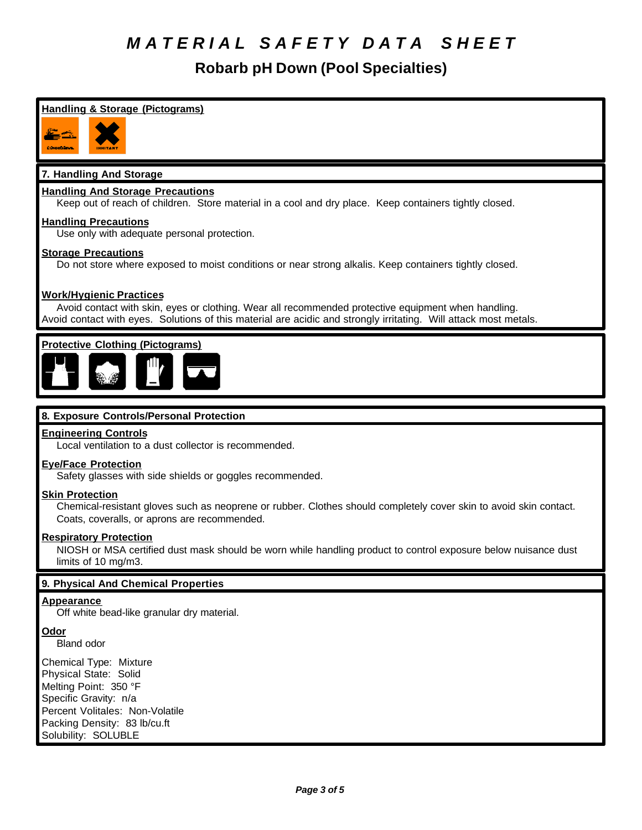**Robarb pH Down (Pool Specialties)**

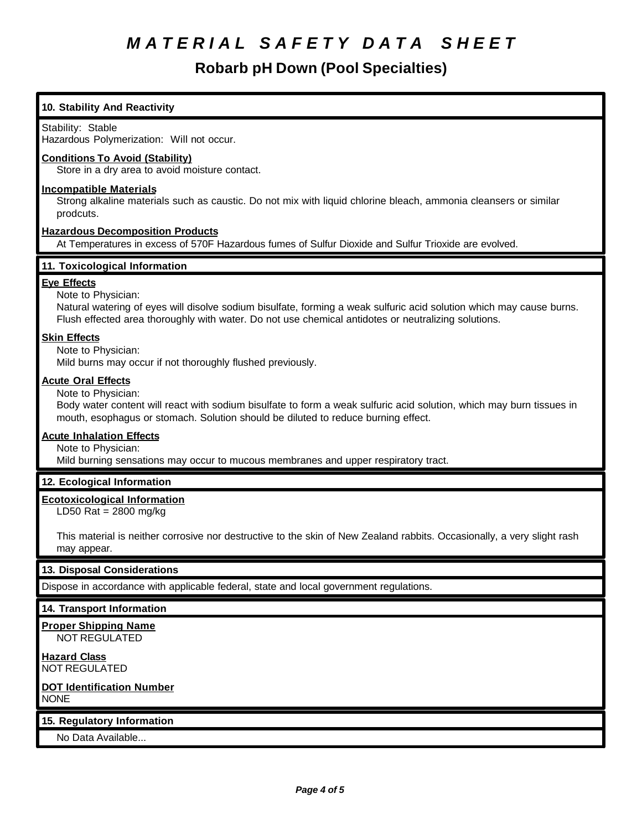### **Robarb pH Down (Pool Specialties)**

### **10. Stability And Reactivity** Stability: Stable Hazardous Polymerization: Will not occur. **Conditions To Avoid (Stability)** Store in a dry area to avoid moisture contact. **Incompatible Materials** Strong alkaline materials such as caustic. Do not mix with liquid chlorine bleach, ammonia cleansers or similar prodcuts. **Hazardous Decomposition Products** At Temperatures in excess of 570F Hazardous fumes of Sulfur Dioxide and Sulfur Trioxide are evolved. **11. Toxicological Information Eye Effects** Note to Physician: Natural watering of eyes will disolve sodium bisulfate, forming a weak sulfuric acid solution which may cause burns. Flush effected area thoroughly with water. Do not use chemical antidotes or neutralizing solutions. **Skin Effects** Note to Physician: Mild burns may occur if not thoroughly flushed previously. **Acute Oral Effects** Note to Physician: Body water content will react with sodium bisulfate to form a weak sulfuric acid solution, which may burn tissues in mouth, esophagus or stomach. Solution should be diluted to reduce burning effect. **Acute Inhalation Effects** Note to Physician: Mild burning sensations may occur to mucous membranes and upper respiratory tract. **12. Ecological Information Ecotoxicological Information** LD50 Rat = 2800 mg/kg This material is neither corrosive nor destructive to the skin of New Zealand rabbits. Occasionally, a very slight rash may appear. **13. Disposal Considerations** Dispose in accordance with applicable federal, state and local government regulations. **14. Transport Information Proper Shipping Name** NOT REGULATED **Hazard Class** NOT REGULATED **DOT Identification Number** NONE **15. Regulatory Information** No Data Available...